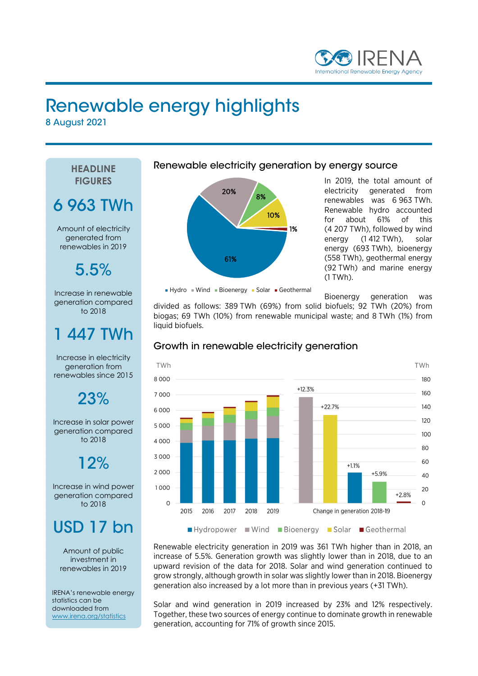

# Renewable energy highlights

8 August 2021

**HEADLINE FIGURES** 6 963 TWh Amount of electricity generated from renewables in 2019 5.5% Increase in renewable generation compared to 2018 447 TWh Increase in electricity generation from renewables since 2015 23% Increase in solar power generation compared to 2018 12% Increase in wind power generation compared to 2018 USD 17 bn Amount of public investment in renewables in 2019 IRENA's renewable energy statistics can be downloaded from www.irena.org/statistics

Renewable electricity generation by energy source



In 2019, the total amount of electricity generated from renewables was 6 963 TWh. Renewable hydro accounted for about 61% of this (4 207 TWh), followed by wind energy (1 412 TWh), solar energy (693 TWh), bioenergy (558 TWh), geothermal energy (92 TWh) and marine energy (1 TWh).

 $Hydro = Wind - Bioenergy - Solar - Geothermal$ 

Bioenergy generation was

divided as follows: 389 TWh (69%) from solid biofuels; 92 TWh (20%) from biogas; 69 TWh (10%) from renewable municipal waste; and 8 TWh (1%) from liquid biofuels.



## Growth in renewable electricity generation

Renewable electricity generation in 2019 was 361 TWh higher than in 2018, an increase of 5.5%. Generation growth was slightly lower than in 2018, due to an upward revision of the data for 2018. Solar and wind generation continued to grow strongly, although growth in solar was slightly lower than in 2018. Bioenergy generation also increased by a lot more than in previous years (+31 TWh).

Solar and wind generation in 2019 increased by 23% and 12% respectively. Together, these two sources of energy continue to dominate growth in renewable generation, accounting for 71% of growth since 2015.